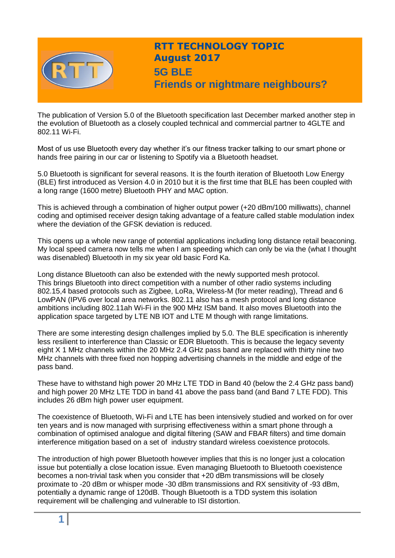

# **RTT TECHNOLOGY TOPIC August 2017 5G BLE Friends or nightmare neighbours?**

The publication of Version 5.0 of the Bluetooth specification last December marked another step in the evolution of Bluetooth as a closely coupled technical and commercial partner to 4GLTE and 802.11 Wi-Fi.

Most of us use Bluetooth every day whether it's our fitness tracker talking to our smart phone or hands free pairing in our car or listening to Spotify via a Bluetooth headset.

5.0 Bluetooth is significant for several reasons. It is the fourth iteration of Bluetooth Low Energy (BLE) first introduced as Version 4.0 in 2010 but it is the first time that BLE has been coupled with a long range (1600 metre) Bluetooth PHY and MAC option.

This is achieved through a combination of higher output power (+20 dBm/100 milliwatts), channel coding and optimised receiver design taking advantage of a feature called stable modulation index where the deviation of the GFSK deviation is reduced.

This opens up a whole new range of potential applications including long distance retail beaconing. My local speed camera now tells me when I am speeding which can only be via the (what I thought was disenabled) Bluetooth in my six year old basic Ford Ka.

Long distance Bluetooth can also be extended with the newly supported mesh protocol. This brings Bluetooth into direct competition with a number of other radio systems including 802.15,4 based protocols such as Zigbee, LoRa, Wireless-M (for meter reading), Thread and 6 LowPAN (IPV6 over local area networks. 802.11 also has a mesh protocol and long distance ambitions including 802.11ah Wi-Fi in the 900 MHz ISM band. It also moves Bluetooth into the application space targeted by LTE NB IOT and LTE M though with range limitations.

There are some interesting design challenges implied by 5.0. The BLE specification is inherently less resilient to interference than Classic or EDR Bluetooth. This is because the legacy seventy eight X 1 MHz channels within the 20 MHz 2.4 GHz pass band are replaced with thirty nine two MHz channels with three fixed non hopping advertising channels in the middle and edge of the pass band.

These have to withstand high power 20 MHz LTE TDD in Band 40 (below the 2.4 GHz pass band) and high power 20 MHz LTE TDD in band 41 above the pass band (and Band 7 LTE FDD). This includes 26 dBm high power user equipment.

The coexistence of Bluetooth, Wi-Fi and LTE has been intensively studied and worked on for over ten years and is now managed with surprising effectiveness within a smart phone through a combination of optimised analogue and digital filtering (SAW and FBAR filters) and time domain interference mitigation based on a set of industry standard wireless coexistence protocols.

The introduction of high power Bluetooth however implies that this is no longer just a colocation issue but potentially a close location issue. Even managing Bluetooth to Bluetooth coexistence becomes a non-trivial task when you consider that +20 dBm transmissions will be closely proximate to -20 dBm or whisper mode -30 dBm transmissions and RX sensitivity of -93 dBm, potentially a dynamic range of 120dB. Though Bluetooth is a TDD system this isolation requirement will be challenging and vulnerable to ISI distortion.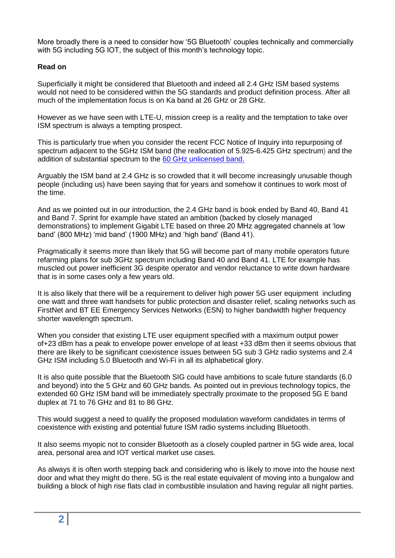More broadly there is a need to consider how '5G Bluetooth' couples technically and commercially with 5G including 5G IOT, the subject of this month's technology topic.

#### **Read on**

Superficially it might be considered that Bluetooth and indeed all 2.4 GHz ISM based systems would not need to be considered within the 5G standards and product definition process. After all much of the implementation focus is on Ka band at 26 GHz or 28 GHz.

However as we have seen with LTE-U, mission creep is a reality and the temptation to take over ISM spectrum is always a tempting prospect.

This is particularly true when you consider the recent FCC Notice of Inquiry into repurposing of spectrum adjacent to the 5GHz ISM band (the reallocation of 5.925-6.425 GHz spectrum) and the addition of substantial spectrum to the [60 GHz unlicensed band.](http://www.rttonline.com/tt/TT2017_002.pdf)

Arguably the ISM band at 2.4 GHz is so crowded that it will become increasingly unusable though people (including us) have been saying that for years and somehow it continues to work most of the time.

And as we pointed out in our introduction, the 2.4 GHz band is book ended by Band 40, Band 41 and Band 7. Sprint for example have stated an ambition (backed by closely managed demonstrations) to implement Gigabit LTE based on three 20 MHz aggregated channels at 'low band' (800 MHz) 'mid band' (1900 MHz) and 'high band' (Band 41).

Pragmatically it seems more than likely that 5G will become part of many mobile operators future refarming plans for sub 3GHz spectrum including Band 40 and Band 41. LTE for example has muscled out power inefficient 3G despite operator and vendor reluctance to write down hardware that is in some cases only a few years old.

It is also likely that there will be a requirement to deliver high power 5G user equipment including one watt and three watt handsets for public protection and disaster relief, scaling networks such as FirstNet and BT EE Emergency Services Networks (ESN) to higher bandwidth higher frequency shorter wavelength spectrum.

When you consider that existing LTE user equipment specified with a maximum output power of+23 dBm has a peak to envelope power envelope of at least +33 dBm then it seems obvious that there are likely to be significant coexistence issues between 5G sub 3 GHz radio systems and 2.4 GHz ISM including 5.0 Bluetooth and Wi-Fi in all its alphabetical glory.

It is also quite possible that the Bluetooth SIG could have ambitions to scale future standards (6.0 and beyond) into the 5 GHz and 60 GHz bands. As pointed out in previous technology topics, the extended 60 GHz ISM band will be immediately spectrally proximate to the proposed 5G E band duplex at 71 to 76 GHz and 81 to 86 GHz.

This would suggest a need to qualify the proposed modulation waveform candidates in terms of coexistence with existing and potential future ISM radio systems including Bluetooth.

It also seems myopic not to consider Bluetooth as a closely coupled partner in 5G wide area, local area, personal area and IOT vertical market use cases.

As always it is often worth stepping back and considering who is likely to move into the house next door and what they might do there. 5G is the real estate equivalent of moving into a bungalow and building a block of high rise flats clad in combustible insulation and having regular all night parties.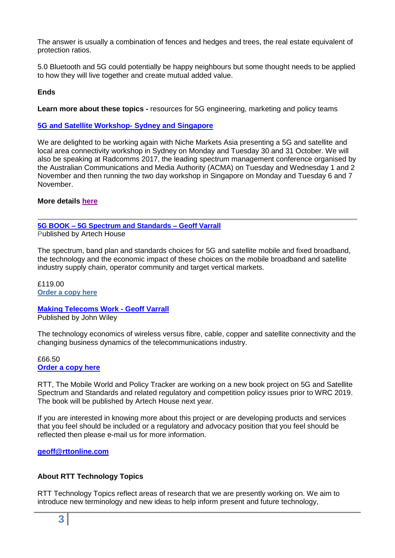The answer is usually a combination of fences and hedges and trees, the real estate equivalent of protection ratios.

5.0 Bluetooth and 5G could potentially be happy neighbours but some thought needs to be applied to how they will live together and create mutual added value.

# **Ends**

**Learn more about these topics -** resources for 5G engineering, marketing and policy teams

#### **[5G and Satellite Workshop-](http://www.rttonline.com/documents/5G%20and%20Satellite%20Version%203.4.compressed.pdf) Sydney and Singapore**

We are delighted to be working again with Niche Markets Asia presenting a 5G and satellite and local area connectivity workshop in Sydney on Monday and Tuesday 30 and 31 October. We will also be speaking at Radcomms 2017, the leading spectrum management conference organised by the Australian Communications and Media Authority (ACMA) on Tuesday and Wednesday 1 and 2 November and then running the two day workshop in Singapore on Monday and Tuesday 6 and 7 November.

#### **More details [here](http://www.rttonline.com/documents/5G%20and%20Satellite%20Version%203.4.compressed.pdf)**

**5G BOOK – [5G Spectrum and Standards –](http://uk.artechhouse.com/5G-Spectrum-and-Standards-P1805.aspx) Geoff Varrall** Published by Artech House

The spectrum, band plan and standards choices for 5G and satellite mobile and fixed broadband, the technology and the economic impact of these choices on the mobile broadband and satellite industry supply chain, operator community and target vertical markets.

£119.00 **[Order a copy here](http://uk.artechhouse.com/5G-Spectrum-and-Standards-P1805.aspx)**

**[Making Telecoms Work](http://eu.wiley.com/WileyCDA/WileyTitle/productCd-1119976413.html) - Geoff Varrall** Published by John Wiley

The technology economics of wireless versus fibre, cable, copper and satellite connectivity and the changing business dynamics of the telecommunications industry.

#### £66.50 **[Order a copy here](http://eu.wiley.com/WileyCDA/WileyTitle/productCd-1119976413.html)**

RTT, The Mobile World and Policy Tracker are working on a new book project on 5G and Satellite Spectrum and Standards and related regulatory and competition policy issues prior to WRC 2019. The book will be published by Artech House next year.

If you are interested in knowing more about this project or are developing products and services that you feel should be included or a regulatory and advocacy position that you feel should be reflected then please e-mail us for more information.

## **[geoff@rttonline.com](mailto:geoff@rttonline.com)**

## **About RTT Technology Topics**

RTT Technology Topics reflect areas of research that we are presently working on. We aim to introduce new terminology and new ideas to help inform present and future technology,